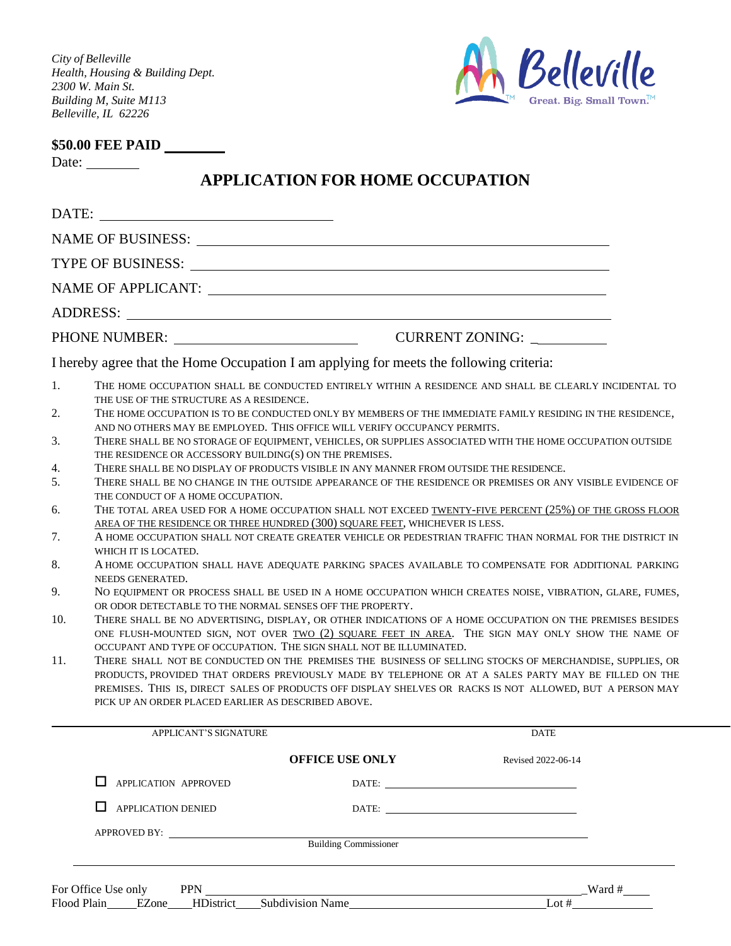*City of Belleville Health, Housing & Building Dept. 2300 W. Main St. Building M, Suite M113 Belleville, IL 62226*



## **\$50.00 FEE PAID**

Date:

## **APPLICATION FOR HOME OCCUPATION**

| DATE:                            |                                                                                                                                                                                                                                                                                                                                                                                                                                                                                                                                                                                                                                                                                                                                                                                                                                                                              |                                                                                                                                                                                                                                |                    |  |  |
|----------------------------------|------------------------------------------------------------------------------------------------------------------------------------------------------------------------------------------------------------------------------------------------------------------------------------------------------------------------------------------------------------------------------------------------------------------------------------------------------------------------------------------------------------------------------------------------------------------------------------------------------------------------------------------------------------------------------------------------------------------------------------------------------------------------------------------------------------------------------------------------------------------------------|--------------------------------------------------------------------------------------------------------------------------------------------------------------------------------------------------------------------------------|--------------------|--|--|
|                                  |                                                                                                                                                                                                                                                                                                                                                                                                                                                                                                                                                                                                                                                                                                                                                                                                                                                                              |                                                                                                                                                                                                                                |                    |  |  |
| TYPE OF BUSINESS:                |                                                                                                                                                                                                                                                                                                                                                                                                                                                                                                                                                                                                                                                                                                                                                                                                                                                                              |                                                                                                                                                                                                                                |                    |  |  |
|                                  |                                                                                                                                                                                                                                                                                                                                                                                                                                                                                                                                                                                                                                                                                                                                                                                                                                                                              |                                                                                                                                                                                                                                |                    |  |  |
|                                  |                                                                                                                                                                                                                                                                                                                                                                                                                                                                                                                                                                                                                                                                                                                                                                                                                                                                              |                                                                                                                                                                                                                                |                    |  |  |
| CURRENT ZONING:                  |                                                                                                                                                                                                                                                                                                                                                                                                                                                                                                                                                                                                                                                                                                                                                                                                                                                                              |                                                                                                                                                                                                                                |                    |  |  |
|                                  |                                                                                                                                                                                                                                                                                                                                                                                                                                                                                                                                                                                                                                                                                                                                                                                                                                                                              | I hereby agree that the Home Occupation I am applying for meets the following criteria:                                                                                                                                        |                    |  |  |
| 1.<br>2.<br>3.<br>4.<br>5.<br>6. | THE HOME OCCUPATION SHALL BE CONDUCTED ENTIRELY WITHIN A RESIDENCE AND SHALL BE CLEARLY INCIDENTAL TO<br>THE USE OF THE STRUCTURE AS A RESIDENCE.<br>THE HOME OCCUPATION IS TO BE CONDUCTED ONLY BY MEMBERS OF THE IMMEDIATE FAMILY RESIDING IN THE RESIDENCE,<br>AND NO OTHERS MAY BE EMPLOYED. THIS OFFICE WILL VERIFY OCCUPANCY PERMITS.<br>THERE SHALL BE NO STORAGE OF EQUIPMENT, VEHICLES, OR SUPPLIES ASSOCIATED WITH THE HOME OCCUPATION OUTSIDE<br>THE RESIDENCE OR ACCESSORY BUILDING(S) ON THE PREMISES.<br>THERE SHALL BE NO DISPLAY OF PRODUCTS VISIBLE IN ANY MANNER FROM OUTSIDE THE RESIDENCE.<br>THERE SHALL BE NO CHANGE IN THE OUTSIDE APPEARANCE OF THE RESIDENCE OR PREMISES OR ANY VISIBLE EVIDENCE OF<br>THE CONDUCT OF A HOME OCCUPATION.<br>THE TOTAL AREA USED FOR A HOME OCCUPATION SHALL NOT EXCEED TWENTY-FIVE PERCENT (25%) OF THE GROSS FLOOR |                                                                                                                                                                                                                                |                    |  |  |
| 7.                               | AREA OF THE RESIDENCE OR THREE HUNDRED (300) SQUARE FEET, WHICHEVER IS LESS.<br>A HOME OCCUPATION SHALL NOT CREATE GREATER VEHICLE OR PEDESTRIAN TRAFFIC THAN NORMAL FOR THE DISTRICT IN                                                                                                                                                                                                                                                                                                                                                                                                                                                                                                                                                                                                                                                                                     |                                                                                                                                                                                                                                |                    |  |  |
| 8.                               | WHICH IT IS LOCATED.<br>A HOME OCCUPATION SHALL HAVE ADEQUATE PARKING SPACES AVAILABLE TO COMPENSATE FOR ADDITIONAL PARKING<br>NEEDS GENERATED.<br>NO EQUIPMENT OR PROCESS SHALL BE USED IN A HOME OCCUPATION WHICH CREATES NOISE, VIBRATION, GLARE, FUMES,<br>OR ODOR DETECTABLE TO THE NORMAL SENSES OFF THE PROPERTY.                                                                                                                                                                                                                                                                                                                                                                                                                                                                                                                                                     |                                                                                                                                                                                                                                |                    |  |  |
| 9.                               |                                                                                                                                                                                                                                                                                                                                                                                                                                                                                                                                                                                                                                                                                                                                                                                                                                                                              |                                                                                                                                                                                                                                |                    |  |  |
| 10.<br>11.                       | THERE SHALL BE NO ADVERTISING, DISPLAY, OR OTHER INDICATIONS OF A HOME OCCUPATION ON THE PREMISES BESIDES<br>ONE FLUSH-MOUNTED SIGN, NOT OVER TWO (2) SQUARE FEET IN AREA. THE SIGN MAY ONLY SHOW THE NAME OF<br>OCCUPANT AND TYPE OF OCCUPATION. THE SIGN SHALL NOT BE ILLUMINATED.<br>THERE SHALL NOT BE CONDUCTED ON THE PREMISES THE BUSINESS OF SELLING STOCKS OF MERCHANDISE, SUPPLIES, OR                                                                                                                                                                                                                                                                                                                                                                                                                                                                             |                                                                                                                                                                                                                                |                    |  |  |
|                                  | PRODUCTS, PROVIDED THAT ORDERS PREVIOUSLY MADE BY TELEPHONE OR AT A SALES PARTY MAY BE FILLED ON THE<br>PREMISES. THIS IS, DIRECT SALES OF PRODUCTS OFF DISPLAY SHELVES OR RACKS IS NOT ALLOWED, BUT A PERSON MAY<br>PICK UP AN ORDER PLACED EARLIER AS DESCRIBED ABOVE.                                                                                                                                                                                                                                                                                                                                                                                                                                                                                                                                                                                                     |                                                                                                                                                                                                                                |                    |  |  |
|                                  | APPLICANT'S SIGNATURE                                                                                                                                                                                                                                                                                                                                                                                                                                                                                                                                                                                                                                                                                                                                                                                                                                                        |                                                                                                                                                                                                                                | <b>DATE</b>        |  |  |
|                                  |                                                                                                                                                                                                                                                                                                                                                                                                                                                                                                                                                                                                                                                                                                                                                                                                                                                                              | <b>OFFICE USE ONLY</b>                                                                                                                                                                                                         | Revised 2022-06-14 |  |  |
|                                  | APPLICATION APPROVED                                                                                                                                                                                                                                                                                                                                                                                                                                                                                                                                                                                                                                                                                                                                                                                                                                                         |                                                                                                                                                                                                                                |                    |  |  |
|                                  | <b>APPLICATION DENIED</b>                                                                                                                                                                                                                                                                                                                                                                                                                                                                                                                                                                                                                                                                                                                                                                                                                                                    |                                                                                                                                                                                                                                |                    |  |  |
|                                  |                                                                                                                                                                                                                                                                                                                                                                                                                                                                                                                                                                                                                                                                                                                                                                                                                                                                              | APPROVED BY: Building Commissioner                                                                                                                                                                                             |                    |  |  |
|                                  |                                                                                                                                                                                                                                                                                                                                                                                                                                                                                                                                                                                                                                                                                                                                                                                                                                                                              | For Office Use only PPN Ward # Ward # Ward # Ward # Ward # Ward # Ward # Ward # Ward # Ward # Ward # Ward # Ward # Ward # Ward # Ward # Ward # Ward # Ward # Ward # Ward # Ward # Ward # Ward # Ward # Ward # Ward # Ward # Wa |                    |  |  |
|                                  |                                                                                                                                                                                                                                                                                                                                                                                                                                                                                                                                                                                                                                                                                                                                                                                                                                                                              |                                                                                                                                                                                                                                |                    |  |  |